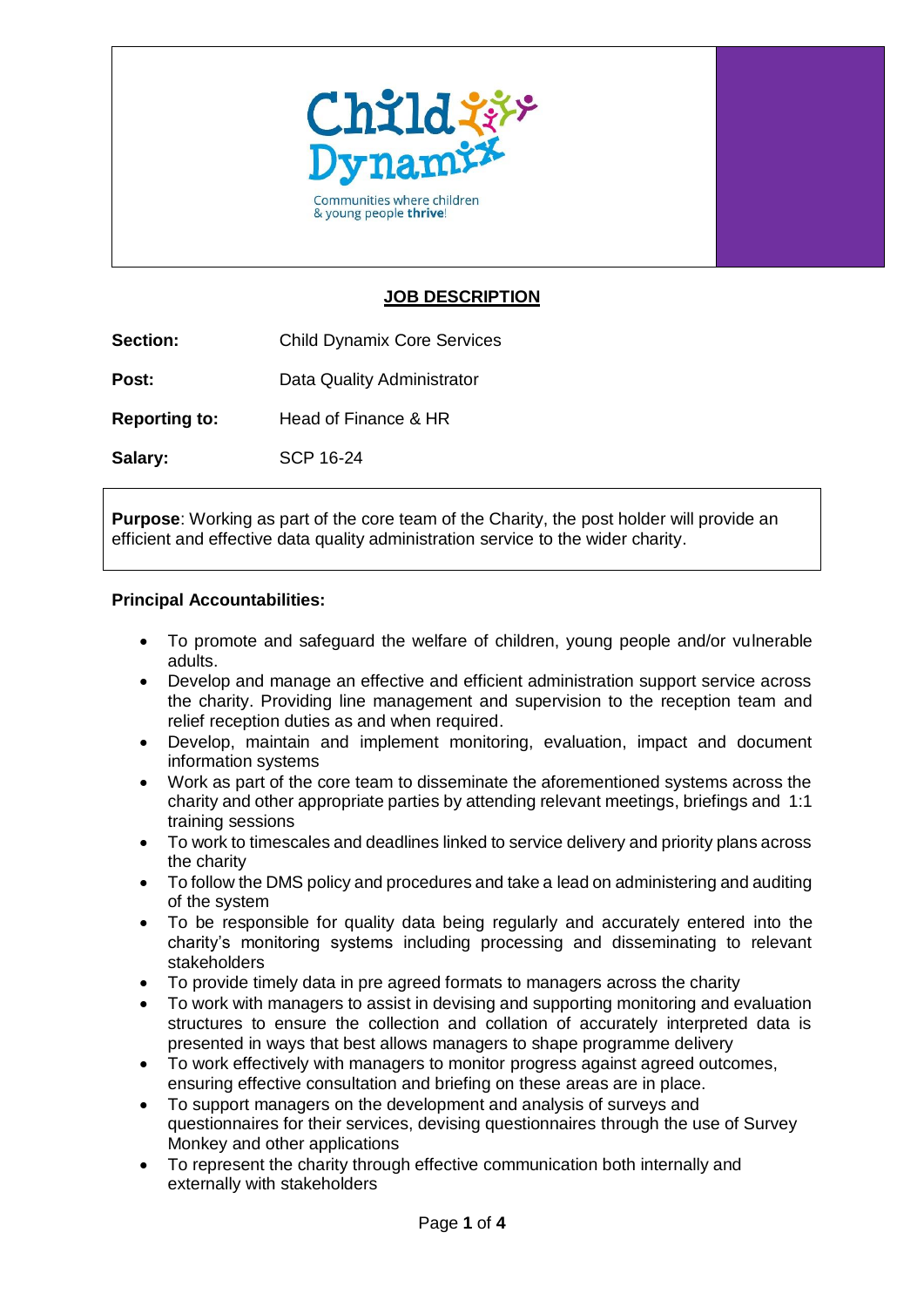

Communities where children & young people thrive!

## **JOB DESCRIPTION**

**Section:** Child Dynamix Core Services

**Post:** Data Quality Administrator

**Reporting to:** Head of Finance & HR

**Salary:** SCP 16-24

**Purpose**: Working as part of the core team of the Charity, the post holder will provide an efficient and effective data quality administration service to the wider charity.

## **Principal Accountabilities:**

- To promote and safeguard the welfare of children, young people and/or vulnerable adults.
- Develop and manage an effective and efficient administration support service across the charity. Providing line management and supervision to the reception team and relief reception duties as and when required.
- Develop, maintain and implement monitoring, evaluation, impact and document information systems
- Work as part of the core team to disseminate the aforementioned systems across the charity and other appropriate parties by attending relevant meetings, briefings and 1:1 training sessions
- To work to timescales and deadlines linked to service delivery and priority plans across the charity
- To follow the DMS policy and procedures and take a lead on administering and auditing of the system
- To be responsible for quality data being regularly and accurately entered into the charity's monitoring systems including processing and disseminating to relevant stakeholders
- To provide timely data in pre agreed formats to managers across the charity
- To work with managers to assist in devising and supporting monitoring and evaluation structures to ensure the collection and collation of accurately interpreted data is presented in ways that best allows managers to shape programme delivery
- To work effectively with managers to monitor progress against agreed outcomes, ensuring effective consultation and briefing on these areas are in place.
- To support managers on the development and analysis of surveys and questionnaires for their services, devising questionnaires through the use of Survey Monkey and other applications
- To represent the charity through effective communication both internally and externally with stakeholders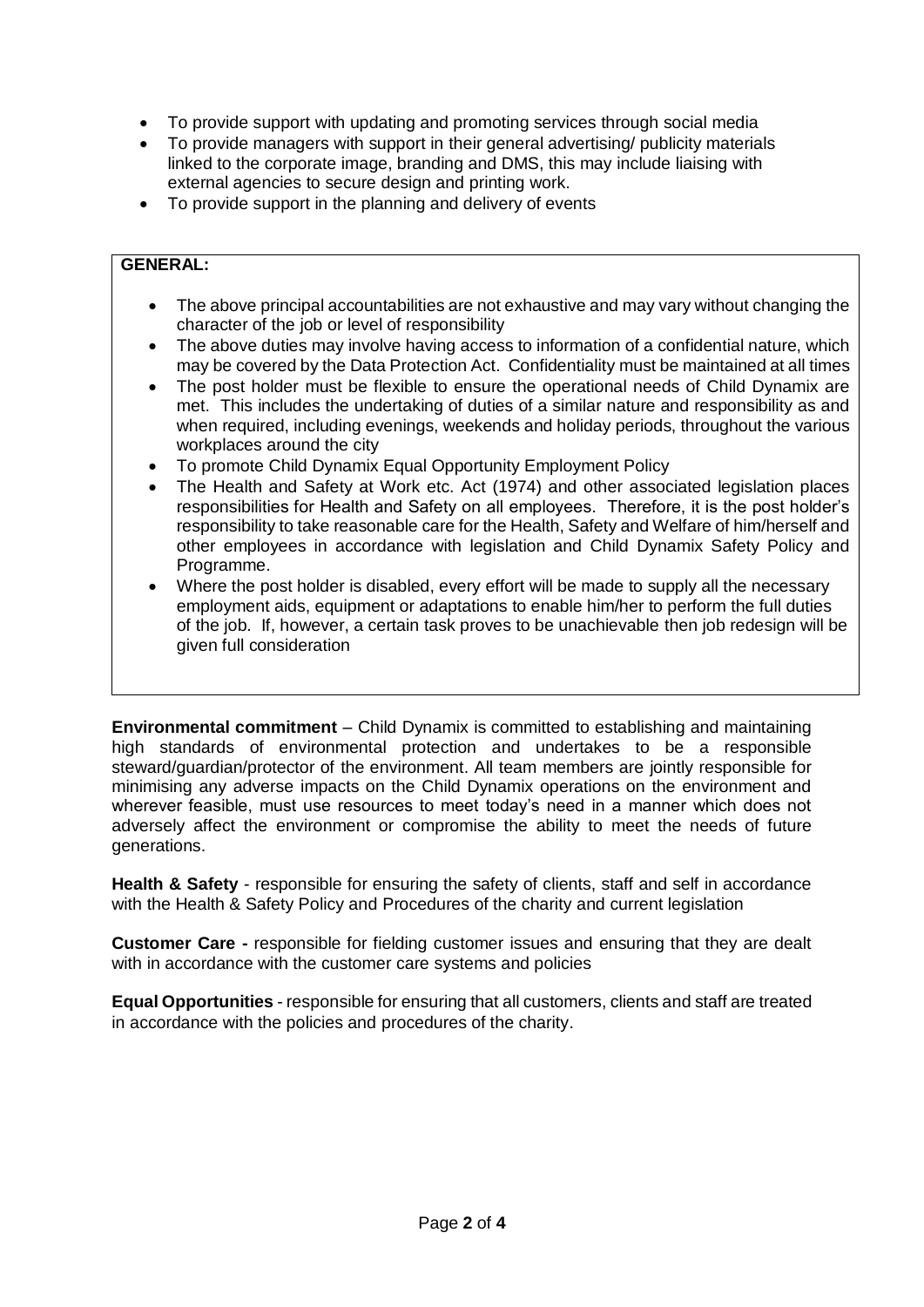- To provide support with updating and promoting services through social media
- To provide managers with support in their general advertising/ publicity materials linked to the corporate image, branding and DMS, this may include liaising with external agencies to secure design and printing work.
- To provide support in the planning and delivery of events

## **GENERAL:**

- The above principal accountabilities are not exhaustive and may vary without changing the character of the job or level of responsibility
- The above duties may involve having access to information of a confidential nature, which may be covered by the Data Protection Act. Confidentiality must be maintained at all times
- The post holder must be flexible to ensure the operational needs of Child Dynamix are met. This includes the undertaking of duties of a similar nature and responsibility as and when required, including evenings, weekends and holiday periods, throughout the various workplaces around the city
- To promote Child Dynamix Equal Opportunity Employment Policy
- The Health and Safety at Work etc. Act (1974) and other associated legislation places responsibilities for Health and Safety on all employees. Therefore, it is the post holder's responsibility to take reasonable care for the Health, Safety and Welfare of him/herself and other employees in accordance with legislation and Child Dynamix Safety Policy and Programme.
- Where the post holder is disabled, every effort will be made to supply all the necessary employment aids, equipment or adaptations to enable him/her to perform the full duties of the job. If, however, a certain task proves to be unachievable then job redesign will be given full consideration

**Environmental commitment** – Child Dynamix is committed to establishing and maintaining high standards of environmental protection and undertakes to be a responsible steward/guardian/protector of the environment. All team members are jointly responsible for minimising any adverse impacts on the Child Dynamix operations on the environment and wherever feasible, must use resources to meet today's need in a manner which does not adversely affect the environment or compromise the ability to meet the needs of future generations.

**Health & Safety** - responsible for ensuring the safety of clients, staff and self in accordance with the Health & Safety Policy and Procedures of the charity and current legislation

**Customer Care -** responsible for fielding customer issues and ensuring that they are dealt with in accordance with the customer care systems and policies

**Equal Opportunities** - responsible for ensuring that all customers, clients and staff are treated in accordance with the policies and procedures of the charity.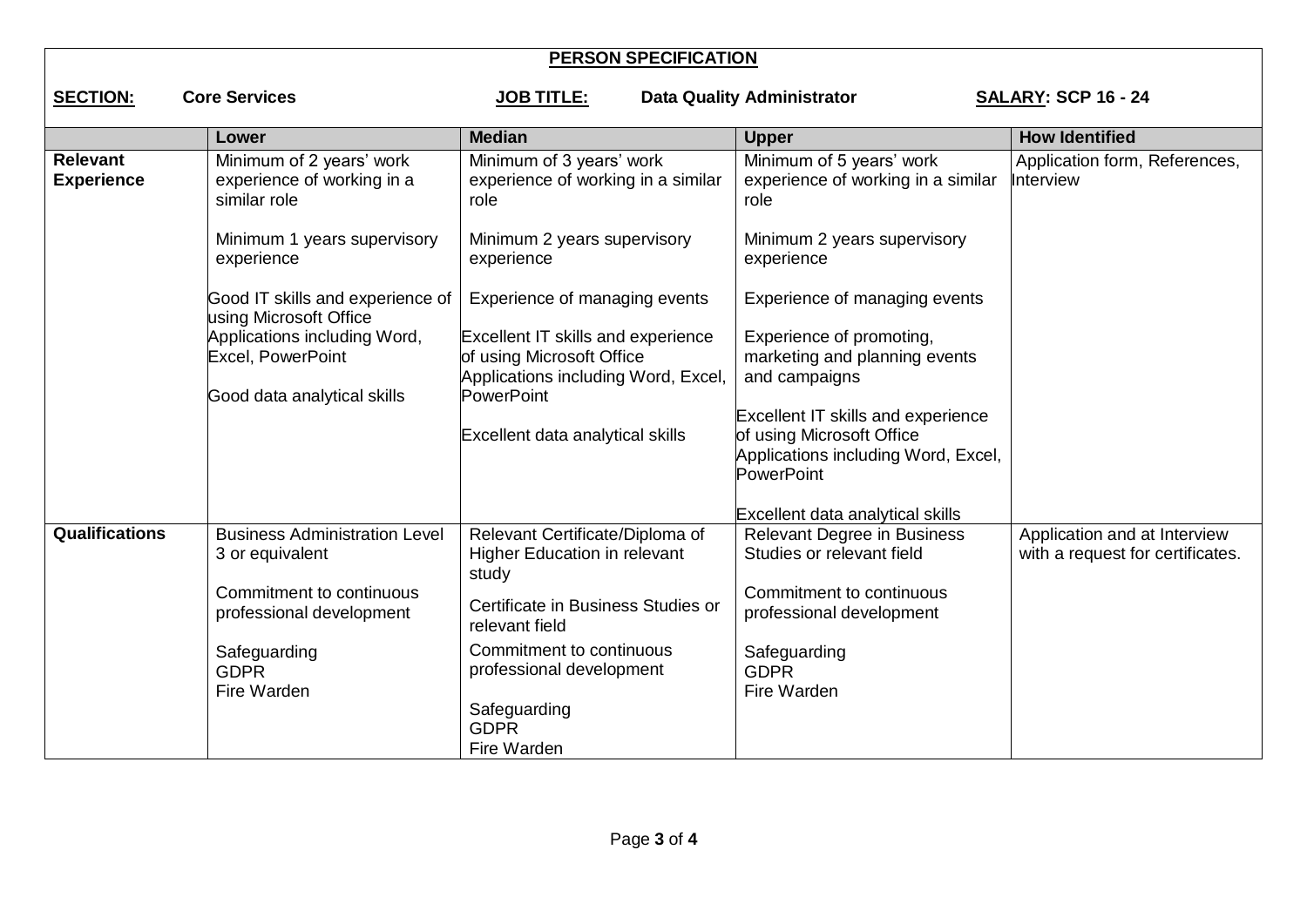| <b>PERSON SPECIFICATION</b>                                                                                                     |                                                                        |                                                                                                        |                                                                                                                             |                                                                  |  |  |  |
|---------------------------------------------------------------------------------------------------------------------------------|------------------------------------------------------------------------|--------------------------------------------------------------------------------------------------------|-----------------------------------------------------------------------------------------------------------------------------|------------------------------------------------------------------|--|--|--|
| <b>Core Services</b><br><b>SECTION:</b><br><b>SALARY: SCP 16 - 24</b><br><b>JOB TITLE:</b><br><b>Data Quality Administrator</b> |                                                                        |                                                                                                        |                                                                                                                             |                                                                  |  |  |  |
|                                                                                                                                 | Lower                                                                  | <b>Median</b>                                                                                          | <b>Upper</b>                                                                                                                | <b>How Identified</b>                                            |  |  |  |
| <b>Relevant</b><br><b>Experience</b>                                                                                            | Minimum of 2 years' work<br>experience of working in a<br>similar role | Minimum of 3 years' work<br>experience of working in a similar<br>role                                 | Minimum of 5 years' work<br>experience of working in a similar<br>role                                                      | Application form, References,<br>Interview                       |  |  |  |
|                                                                                                                                 | Minimum 1 years supervisory<br>experience                              | Minimum 2 years supervisory<br>experience                                                              | Minimum 2 years supervisory<br>experience                                                                                   |                                                                  |  |  |  |
|                                                                                                                                 | Good IT skills and experience of<br>using Microsoft Office             | Experience of managing events                                                                          | Experience of managing events                                                                                               |                                                                  |  |  |  |
|                                                                                                                                 | Applications including Word,<br>Excel, PowerPoint                      | Excellent IT skills and experience<br>of using Microsoft Office<br>Applications including Word, Excel, | Experience of promoting,<br>marketing and planning events<br>and campaigns                                                  |                                                                  |  |  |  |
|                                                                                                                                 | Good data analytical skills                                            | PowerPoint<br>Excellent data analytical skills                                                         | <b>Excellent IT skills and experience</b><br>of using Microsoft Office<br>Applications including Word, Excel,<br>PowerPoint |                                                                  |  |  |  |
|                                                                                                                                 |                                                                        |                                                                                                        | Excellent data analytical skills                                                                                            |                                                                  |  |  |  |
| <b>Qualifications</b>                                                                                                           | <b>Business Administration Level</b><br>3 or equivalent                | Relevant Certificate/Diploma of<br><b>Higher Education in relevant</b><br>study                        | <b>Relevant Degree in Business</b><br>Studies or relevant field                                                             | Application and at Interview<br>with a request for certificates. |  |  |  |
|                                                                                                                                 | Commitment to continuous<br>professional development                   | Certificate in Business Studies or<br>relevant field                                                   | Commitment to continuous<br>professional development                                                                        |                                                                  |  |  |  |
|                                                                                                                                 | Safeguarding<br><b>GDPR</b><br>Fire Warden                             | Commitment to continuous<br>professional development<br>Safeguarding                                   | Safeguarding<br><b>GDPR</b><br>Fire Warden                                                                                  |                                                                  |  |  |  |
|                                                                                                                                 |                                                                        | <b>GDPR</b><br>Fire Warden                                                                             |                                                                                                                             |                                                                  |  |  |  |